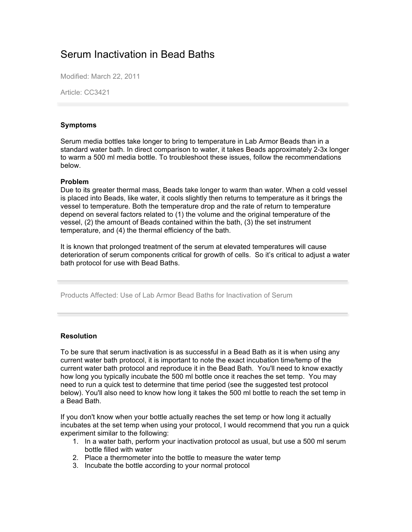## Serum Inactivation in Bead Baths

Modified: March 22, 2011

Article: CC3421

## **Symptoms**

Serum media bottles take longer to bring to temperature in Lab Armor Beads than in a standard water bath. In direct comparison to water, it takes Beads approximately 2-3x longer to warm a 500 ml media bottle. To troubleshoot these issues, follow the recommendations below.

## **Problem**

Due to its greater thermal mass, Beads take longer to warm than water. When a cold vessel is placed into Beads, like water, it cools slightly then returns to temperature as it brings the vessel to temperature. Both the temperature drop and the rate of return to temperature depend on several factors related to (1) the volume and the original temperature of the vessel, (2) the amount of Beads contained within the bath, (3) the set instrument temperature, and (4) the thermal efficiency of the bath.

It is known that prolonged treatment of the serum at elevated temperatures will cause deterioration of serum components critical for growth of cells. So it's critical to adjust a water bath protocol for use with Bead Baths.

Products Affected: Use of Lab Armor Bead Baths for Inactivation of Serum

## **Resolution**

To be sure that serum inactivation is as successful in a Bead Bath as it is when using any current water bath protocol, it is important to note the exact incubation time/temp of the current water bath protocol and reproduce it in the Bead Bath. You'll need to know exactly how long you typically incubate the 500 ml bottle once it reaches the set temp. You may need to run a quick test to determine that time period (see the suggested test protocol below). You'll also need to know how long it takes the 500 ml bottle to reach the set temp in a Bead Bath.

If you don't know when your bottle actually reaches the set temp or how long it actually incubates at the set temp when using your protocol, I would recommend that you run a quick experiment similar to the following:

- 1. In a water bath, perform your inactivation protocol as usual, but use a 500 ml serum bottle filled with water
- 2. Place a thermometer into the bottle to measure the water temp
- 3. Incubate the bottle according to your normal protocol